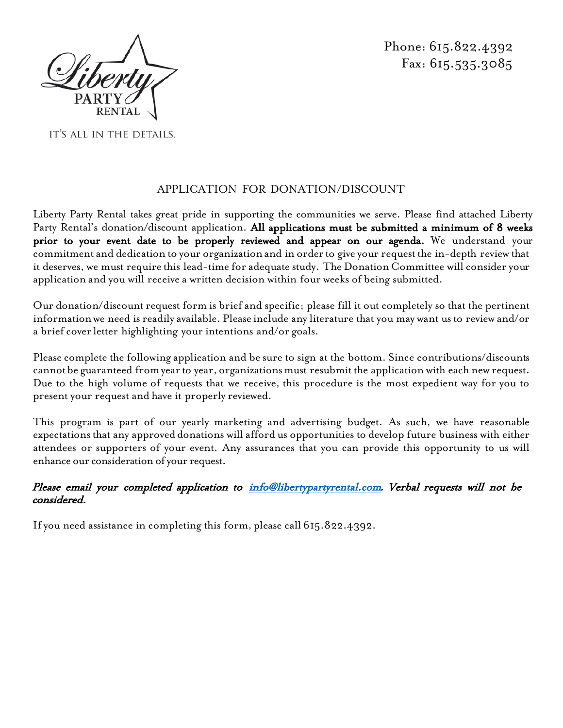

IT'S ALL IN THE DETAILS.

Phone: 615.822.4392 Fax: 615.535.3085

## APPLICATION FOR DONATION/DISCOUNT

Liberty Party Rental takes great pride in supporting the communities we serve. Please find attached Liberty Party Rental's donation/discount application. All applications must be submitted a minimum of 8 weeks prior to your event date to be properly reviewed and appear on our agenda. We understand your commitment and dedication to your organization and in order to give your request the in-depth review that it deserves, we must require this lead-time for adequate study. The Donation Committee will consider your application and you will receive a written decision within four weeks of being submitted.

Our donation/discount request form is brief and specific; please fill it out completely so that the pertinent informationwe need is readily available. Please include any literature that you may want us to review and/or a brief cover letter highlighting your intentions and/or goals.

Please complete the following application and be sure to sign at the bottom. Since contributions/discounts cannot be guaranteed from year to year, organizations must resubmit the application with each new request. Due to the high volume of requests that we receive, this procedure is the most expedient way for you to present your request and have it properly reviewed.

This program is part of our yearly marketing and advertising budget. As such, we have reasonable expectations that any approved donations will afford us opportunities to develop future business with either attendees or supporters of your event. Any assurances that you can provide this opportunity to us will enhance our consideration of your request.

## Please email your completed application to [info@libertypartyrental.com](mailto:info@libertypartyrental.com). Verbal requests will not be considered.

If you need assistance in completing this form, please call 615.822.4392.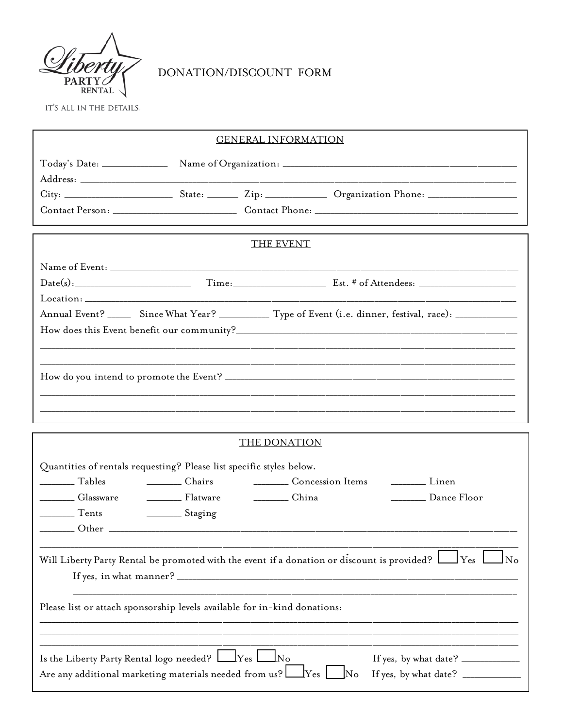

DONATION/DISCOUNT FORM

IT'S ALL IN THE DETAILS.

|                                                                                                               |  | <b>GENERAL INFORMATION</b>                                                                                           |                                                                                                                                                       |  |
|---------------------------------------------------------------------------------------------------------------|--|----------------------------------------------------------------------------------------------------------------------|-------------------------------------------------------------------------------------------------------------------------------------------------------|--|
|                                                                                                               |  |                                                                                                                      |                                                                                                                                                       |  |
|                                                                                                               |  |                                                                                                                      |                                                                                                                                                       |  |
|                                                                                                               |  |                                                                                                                      |                                                                                                                                                       |  |
|                                                                                                               |  |                                                                                                                      |                                                                                                                                                       |  |
|                                                                                                               |  |                                                                                                                      |                                                                                                                                                       |  |
|                                                                                                               |  | THE EVENT                                                                                                            |                                                                                                                                                       |  |
|                                                                                                               |  |                                                                                                                      |                                                                                                                                                       |  |
|                                                                                                               |  |                                                                                                                      | $Date(s):$ Time: Est. # of Attendees:                                                                                                                 |  |
|                                                                                                               |  |                                                                                                                      |                                                                                                                                                       |  |
| Annual Event? _______ Since What Year? ____________ Type of Event (i.e. dinner, festival, race): ____________ |  |                                                                                                                      |                                                                                                                                                       |  |
|                                                                                                               |  |                                                                                                                      |                                                                                                                                                       |  |
|                                                                                                               |  | <u> 1980 - Jan Samuel Barbara, martin da shekara 1980 - An tsara 1980 - An tsara 1980 - An tsara 1980 - An tsara</u> |                                                                                                                                                       |  |
|                                                                                                               |  |                                                                                                                      |                                                                                                                                                       |  |
| How do you intend to promote the Event?                                                                       |  |                                                                                                                      |                                                                                                                                                       |  |
|                                                                                                               |  |                                                                                                                      | <u> 1980 - Andrea San Andrea San Andrea San Andrea San Andrea San Andrea San Andrea San Andrea San Andrea San Andr</u>                                |  |
|                                                                                                               |  |                                                                                                                      | <u> 1990 - Jan Samuel Barbara, Amerikaansk politiker († 1908)</u><br>,我们也不会有什么。""我们的人,我们也不会有什么?""我们的人,我们也不会有什么?""我们的人,我们也不会有什么?""我们的人,我们也不会有什么?""我们的人 |  |
|                                                                                                               |  | <b>THE DONATION</b>                                                                                                  |                                                                                                                                                       |  |
|                                                                                                               |  |                                                                                                                      |                                                                                                                                                       |  |
| Quantities of rentals requesting? Please list specific styles below.                                          |  |                                                                                                                      |                                                                                                                                                       |  |
| Tables                                                                                                        |  |                                                                                                                      | Chairs Concession Items Linen                                                                                                                         |  |
| Classware <u>Classware</u> Flatware                                                                           |  | China                                                                                                                | Dance Floor                                                                                                                                           |  |
| Tents<br>Staging                                                                                              |  |                                                                                                                      |                                                                                                                                                       |  |
|                                                                                                               |  |                                                                                                                      |                                                                                                                                                       |  |
|                                                                                                               |  |                                                                                                                      |                                                                                                                                                       |  |
| Will Liberty Party Rental be promoted with the event if a donation or discount is provided? $\mathsf L$       |  |                                                                                                                      | $\Gamma$ Yes<br>No                                                                                                                                    |  |
| If yes, in what manner? _                                                                                     |  |                                                                                                                      |                                                                                                                                                       |  |
|                                                                                                               |  |                                                                                                                      |                                                                                                                                                       |  |
| Please list or attach sponsorship levels available for in-kind donations:                                     |  |                                                                                                                      |                                                                                                                                                       |  |
|                                                                                                               |  |                                                                                                                      |                                                                                                                                                       |  |
|                                                                                                               |  |                                                                                                                      |                                                                                                                                                       |  |
| Is the Liberty Party Rental logo needed? $\Box$ Yes $\Box$ No                                                 |  |                                                                                                                      |                                                                                                                                                       |  |
| Are any additional marketing materials needed from us?                                                        |  | $\Box$ Yes $\Box$                                                                                                    | $\ln$                                                                                                                                                 |  |